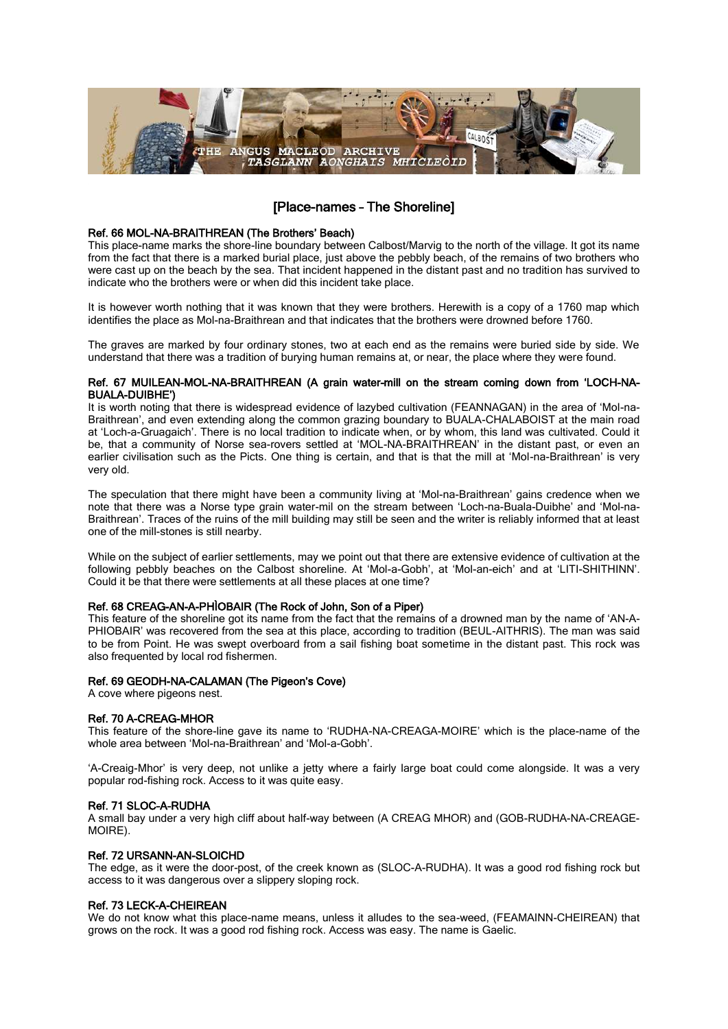

# [Place-names – The Shoreline]

## Ref. 66 MOL-NA-BRAITHREAN (The Brothers' Beach)

This place-name marks the shore-line boundary between Calbost/Marvig to the north of the village. It got its name from the fact that there is a marked burial place, just above the pebbly beach, of the remains of two brothers who were cast up on the beach by the sea. That incident happened in the distant past and no tradition has survived to indicate who the brothers were or when did this incident take place.

It is however worth nothing that it was known that they were brothers. Herewith is a copy of a 1760 map which identifies the place as Mol-na-Braithrean and that indicates that the brothers were drowned before 1760.

The graves are marked by four ordinary stones, two at each end as the remains were buried side by side. We understand that there was a tradition of burying human remains at, or near, the place where they were found.

## Ref. 67 MUILEAN-MOL-NA-BRAITHREAN (A grain water-mill on the stream coming down from 'LOCH-NA-BUALA-DUIBHE')

It is worth noting that there is widespread evidence of lazybed cultivation (FEANNAGAN) in the area of 'Mol-na-Braithrean', and even extending along the common grazing boundary to BUALA-CHALABOIST at the main road at 'Loch-a-Gruagaich'. There is no local tradition to indicate when, or by whom, this land was cultivated. Could it be, that a community of Norse sea-rovers settled at 'MOL-NA-BRAITHREAN' in the distant past, or even an earlier civilisation such as the Picts. One thing is certain, and that is that the mill at 'Mol-na-Braithrean' is very very old.

The speculation that there might have been a community living at 'Mol-na-Braithrean' gains credence when we note that there was a Norse type grain water-mil on the stream between 'Loch-na-Buala-Duibhe' and 'Mol-na-Braithrean'. Traces of the ruins of the mill building may still be seen and the writer is reliably informed that at least one of the mill-stones is still nearby.

While on the subject of earlier settlements, may we point out that there are extensive evidence of cultivation at the following pebbly beaches on the Calbost shoreline. At 'Mol-a-Gobh', at 'Mol-an-eich' and at 'LITI-SHITHINN'. Could it be that there were settlements at all these places at one time?

## Ref. 68 CREAG-AN-A-PHÌOBAIR (The Rock of John, Son of a Piper)

This feature of the shoreline got its name from the fact that the remains of a drowned man by the name of 'AN-A-PHIOBAIR' was recovered from the sea at this place, according to tradition (BEUL-AITHRIS). The man was said to be from Point. He was swept overboard from a sail fishing boat sometime in the distant past. This rock was also frequented by local rod fishermen.

## Ref. 69 GEODH-NA-CALAMAN (The Pigeon's Cove)

A cove where pigeons nest.

## Ref. 70 A-CREAG-MHOR

This feature of the shore-line gave its name to 'RUDHA-NA-CREAGA-MOIRE' which is the place-name of the whole area between 'Mol-na-Braithrean' and 'Mol-a-Gobh'.

'A-Creaig-Mhor' is very deep, not unlike a jetty where a fairly large boat could come alongside. It was a very popular rod-fishing rock. Access to it was quite easy.

## Ref. 71 SLOC-A-RUDHA

A small bay under a very high cliff about half-way between (A CREAG MHOR) and (GOB-RUDHA-NA-CREAGE-MOIRE).

## Ref. 72 URSANN-AN-SLOICHD

The edge, as it were the door-post, of the creek known as (SLOC-A-RUDHA). It was a good rod fishing rock but access to it was dangerous over a slippery sloping rock.

## Ref. 73 LECK-A-CHEIREAN

We do not know what this place-name means, unless it alludes to the sea-weed, (FEAMAINN-CHEIREAN) that grows on the rock. It was a good rod fishing rock. Access was easy. The name is Gaelic.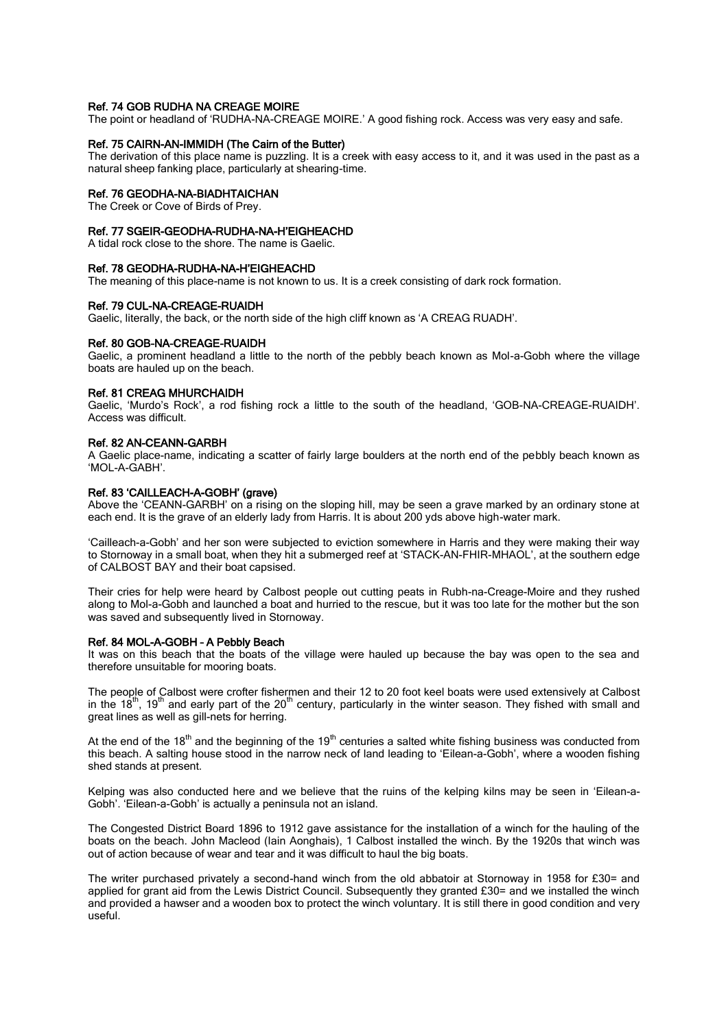#### Ref. 74 GOB RUDHA NA CREAGE MOIRE

The point or headland of 'RUDHA-NA-CREAGE MOIRE.' A good fishing rock. Access was very easy and safe.

#### Ref. 75 CAIRN-AN-IMMIDH (The Cairn of the Butter)

The derivation of this place name is puzzling. It is a creek with easy access to it, and it was used in the past as a natural sheep fanking place, particularly at shearing-time.

#### Ref. 76 GEODHA-NA-BIADHTAICHAN

The Creek or Cove of Birds of Prey.

#### Ref. 77 SGEIR-GEODHA-RUDHA-NA-H'EIGHEACHD

A tidal rock close to the shore. The name is Gaelic.

## Ref. 78 GEODHA-RUDHA-NA-H'EIGHEACHD

The meaning of this place-name is not known to us. It is a creek consisting of dark rock formation.

#### Ref. 79 CUL-NA-CREAGE-RUAIDH

Gaelic, literally, the back, or the north side of the high cliff known as 'A CREAG RUADH'.

#### Ref. 80 GOB-NA-CREAGE-RUAIDH

Gaelic, a prominent headland a little to the north of the pebbly beach known as Mol-a-Gobh where the village boats are hauled up on the beach.

#### Ref. 81 CREAG MHURCHAIDH

Gaelic, 'Murdo's Rock', a rod fishing rock a little to the south of the headland, 'GOB-NA-CREAGE-RUAIDH'. Access was difficult.

#### Ref. 82 AN-CEANN-GARBH

A Gaelic place-name, indicating a scatter of fairly large boulders at the north end of the pebbly beach known as 'MOL-A-GABH'.

#### Ref. 83 'CAILLEACH-A-GOBH' (grave)

Above the 'CEANN-GARBH' on a rising on the sloping hill, may be seen a grave marked by an ordinary stone at each end. It is the grave of an elderly lady from Harris. It is about 200 yds above high-water mark.

'Cailleach-a-Gobh' and her son were subjected to eviction somewhere in Harris and they were making their way to Stornoway in a small boat, when they hit a submerged reef at 'STACK-AN-FHIR-MHAOL', at the southern edge of CALBOST BAY and their boat capsised.

Their cries for help were heard by Calbost people out cutting peats in Rubh-na-Creage-Moire and they rushed along to Mol-a-Gobh and launched a boat and hurried to the rescue, but it was too late for the mother but the son was saved and subsequently lived in Stornoway.

## Ref. 84 MOL-A-GOBH – A Pebbly Beach

It was on this beach that the boats of the village were hauled up because the bay was open to the sea and therefore unsuitable for mooring boats.

The people of Calbost were crofter fishermen and their 12 to 20 foot keel boats were used extensively at Calbost in the  $18<sup>th</sup>$ ,  $19<sup>th</sup>$  and early part of the  $20<sup>th</sup>$  century, particularly in the winter season. They fished with small and great lines as well as gill-nets for herring.

At the end of the  $18<sup>th</sup>$  and the beginning of the  $19<sup>th</sup>$  centuries a salted white fishing business was conducted from this beach. A salting house stood in the narrow neck of land leading to 'Eilean-a-Gobh', where a wooden fishing shed stands at present.

Kelping was also conducted here and we believe that the ruins of the kelping kilns may be seen in 'Eilean-a-Gobh'. 'Eilean-a-Gobh' is actually a peninsula not an island.

The Congested District Board 1896 to 1912 gave assistance for the installation of a winch for the hauling of the boats on the beach. John Macleod (Iain Aonghais), 1 Calbost installed the winch. By the 1920s that winch was out of action because of wear and tear and it was difficult to haul the big boats.

The writer purchased privately a second-hand winch from the old abbatoir at Stornoway in 1958 for £30= and applied for grant aid from the Lewis District Council. Subsequently they granted £30= and we installed the winch and provided a hawser and a wooden box to protect the winch voluntary. It is still there in good condition and very useful.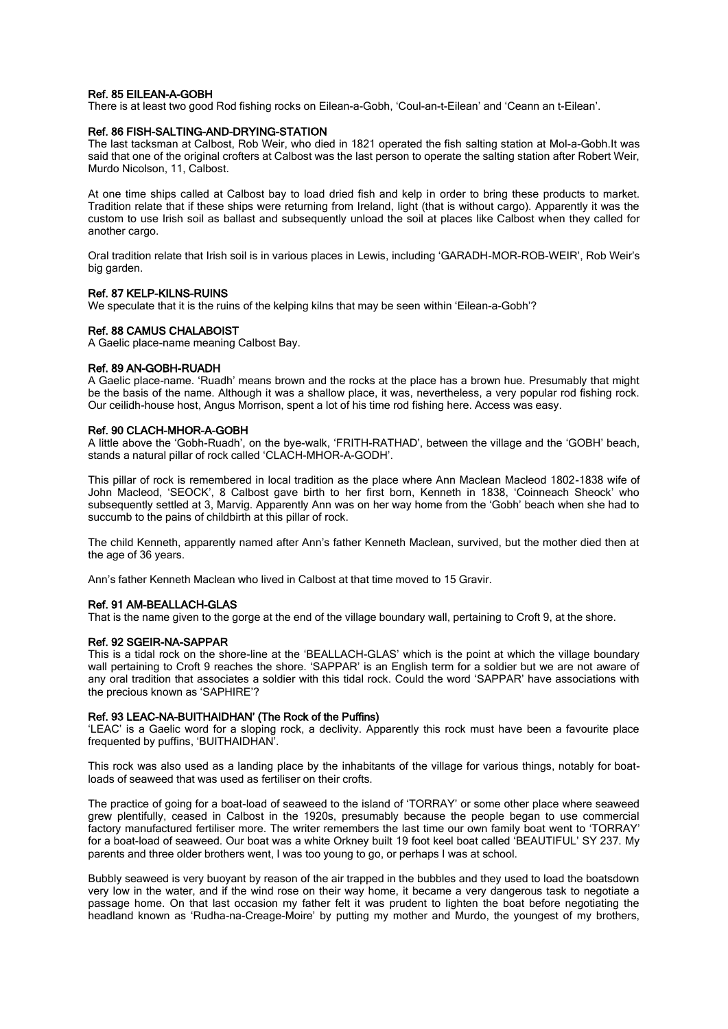## Ref. 85 EILEAN-A-GOBH

There is at least two good Rod fishing rocks on Eilean-a-Gobh, 'Coul-an-t-Eilean' and 'Ceann an t-Eilean'.

## Ref. 86 FISH-SALTING-AND-DRYING-STATION

The last tacksman at Calbost, Rob Weir, who died in 1821 operated the fish salting station at Mol-a-Gobh.It was said that one of the original crofters at Calbost was the last person to operate the salting station after Robert Weir, Murdo Nicolson, 11, Calbost.

At one time ships called at Calbost bay to load dried fish and kelp in order to bring these products to market. Tradition relate that if these ships were returning from Ireland, light (that is without cargo). Apparently it was the custom to use Irish soil as ballast and subsequently unload the soil at places like Calbost when they called for another cargo.

Oral tradition relate that Irish soil is in various places in Lewis, including 'GARADH-MOR-ROB-WEIR', Rob Weir's big garden.

## Ref. 87 KELP-KILNS-RUINS

We speculate that it is the ruins of the kelping kilns that may be seen within 'Eilean-a-Gobh'?

## Ref. 88 CAMUS CHALABOIST

A Gaelic place-name meaning Calbost Bay.

## Ref. 89 AN-GOBH-RUADH

A Gaelic place-name. 'Ruadh' means brown and the rocks at the place has a brown hue. Presumably that might be the basis of the name. Although it was a shallow place, it was, nevertheless, a very popular rod fishing rock. Our ceilidh-house host, Angus Morrison, spent a lot of his time rod fishing here. Access was easy.

#### Ref. 90 CLACH-MHOR-A-GOBH

A little above the 'Gobh-Ruadh', on the bye-walk, 'FRITH-RATHAD', between the village and the 'GOBH' beach, stands a natural pillar of rock called 'CLACH-MHOR-A-GODH'.

This pillar of rock is remembered in local tradition as the place where Ann Maclean Macleod 1802-1838 wife of John Macleod, 'SEOCK', 8 Calbost gave birth to her first born, Kenneth in 1838, 'Coinneach Sheock' who subsequently settled at 3, Marvig. Apparently Ann was on her way home from the 'Gobh' beach when she had to succumb to the pains of childbirth at this pillar of rock.

The child Kenneth, apparently named after Ann's father Kenneth Maclean, survived, but the mother died then at the age of 36 years.

Ann's father Kenneth Maclean who lived in Calbost at that time moved to 15 Gravir.

## Ref. 91 AM-BEALLACH-GLAS

That is the name given to the gorge at the end of the village boundary wall, pertaining to Croft 9, at the shore.

## Ref. 92 SGEIR-NA-SAPPAR

This is a tidal rock on the shore-line at the 'BEALLACH-GLAS' which is the point at which the village boundary wall pertaining to Croft 9 reaches the shore. 'SAPPAR' is an English term for a soldier but we are not aware of any oral tradition that associates a soldier with this tidal rock. Could the word 'SAPPAR' have associations with the precious known as 'SAPHIRE'?

## Ref. 93 LEAC-NA-BUITHAIDHAN' (The Rock of the Puffins)

'LEAC' is a Gaelic word for a sloping rock, a declivity. Apparently this rock must have been a favourite place frequented by puffins, 'BUITHAIDHAN'.

This rock was also used as a landing place by the inhabitants of the village for various things, notably for boatloads of seaweed that was used as fertiliser on their crofts.

The practice of going for a boat-load of seaweed to the island of 'TORRAY' or some other place where seaweed grew plentifully, ceased in Calbost in the 1920s, presumably because the people began to use commercial factory manufactured fertiliser more. The writer remembers the last time our own family boat went to 'TORRAY' for a boat-load of seaweed. Our boat was a white Orkney built 19 foot keel boat called 'BEAUTIFUL' SY 237. My parents and three older brothers went, I was too young to go, or perhaps I was at school.

Bubbly seaweed is very buoyant by reason of the air trapped in the bubbles and they used to load the boatsdown very low in the water, and if the wind rose on their way home, it became a very dangerous task to negotiate a passage home. On that last occasion my father felt it was prudent to lighten the boat before negotiating the headland known as 'Rudha-na-Creage-Moire' by putting my mother and Murdo, the youngest of my brothers,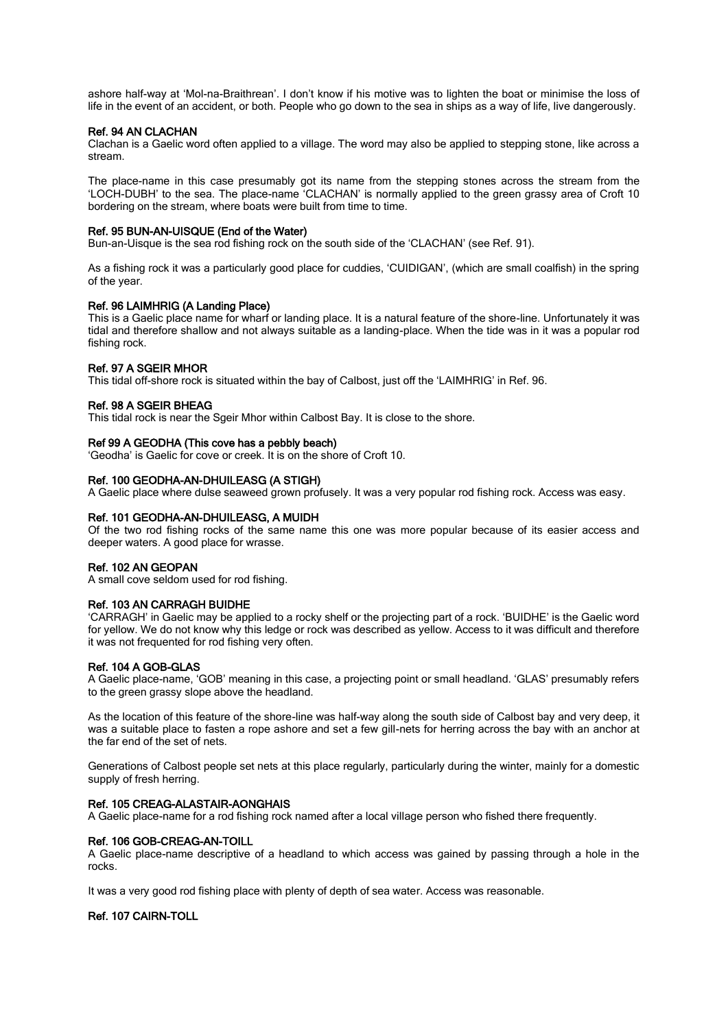ashore half-way at 'Mol-na-Braithrean'. I don't know if his motive was to lighten the boat or minimise the loss of life in the event of an accident, or both. People who go down to the sea in ships as a way of life, live dangerously.

#### Ref. 94 AN CLACHAN

Clachan is a Gaelic word often applied to a village. The word may also be applied to stepping stone, like across a stream.

The place-name in this case presumably got its name from the stepping stones across the stream from the 'LOCH-DUBH' to the sea. The place-name 'CLACHAN' is normally applied to the green grassy area of Croft 10 bordering on the stream, where boats were built from time to time.

#### Ref. 95 BUN-AN-UISQUE (End of the Water)

Bun-an-Uisque is the sea rod fishing rock on the south side of the 'CLACHAN' (see Ref. 91).

As a fishing rock it was a particularly good place for cuddies, 'CUIDIGAN', (which are small coalfish) in the spring of the year.

#### Ref. 96 LAIMHRIG (A Landing Place)

This is a Gaelic place name for wharf or landing place. It is a natural feature of the shore-line. Unfortunately it was tidal and therefore shallow and not always suitable as a landing-place. When the tide was in it was a popular rod fishing rock.

#### Ref. 97 A SGEIR MHOR

This tidal off-shore rock is situated within the bay of Calbost, just off the 'LAIMHRIG' in Ref. 96.

#### Ref. 98 A SGEIR BHEAG

This tidal rock is near the Sgeir Mhor within Calbost Bay. It is close to the shore.

#### Ref 99 A GEODHA (This cove has a pebbly beach)

'Geodha' is Gaelic for cove or creek. It is on the shore of Croft 10.

#### Ref. 100 GEODHA-AN-DHUILEASG (A STIGH)

A Gaelic place where dulse seaweed grown profusely. It was a very popular rod fishing rock. Access was easy.

#### Ref. 101 GEODHA-AN-DHUILEASG, A MUIDH

Of the two rod fishing rocks of the same name this one was more popular because of its easier access and deeper waters. A good place for wrasse.

## Ref. 102 AN GEOPAN

A small cove seldom used for rod fishing.

## Ref. 103 AN CARRAGH BUIDHE

'CARRAGH' in Gaelic may be applied to a rocky shelf or the projecting part of a rock. 'BUIDHE' is the Gaelic word for yellow. We do not know why this ledge or rock was described as yellow. Access to it was difficult and therefore it was not frequented for rod fishing very often.

#### Ref. 104 A GOB-GLAS

A Gaelic place-name, 'GOB' meaning in this case, a projecting point or small headland. 'GLAS' presumably refers to the green grassy slope above the headland.

As the location of this feature of the shore-line was half-way along the south side of Calbost bay and very deep, it was a suitable place to fasten a rope ashore and set a few gill-nets for herring across the bay with an anchor at the far end of the set of nets.

Generations of Calbost people set nets at this place regularly, particularly during the winter, mainly for a domestic supply of fresh herring.

#### Ref. 105 CREAG-ALASTAIR-AONGHAIS

A Gaelic place-name for a rod fishing rock named after a local village person who fished there frequently.

#### Ref. 106 GOB-CREAG-AN-TOILL

A Gaelic place-name descriptive of a headland to which access was gained by passing through a hole in the rocks.

It was a very good rod fishing place with plenty of depth of sea water. Access was reasonable.

## Ref. 107 CAIRN-TOLL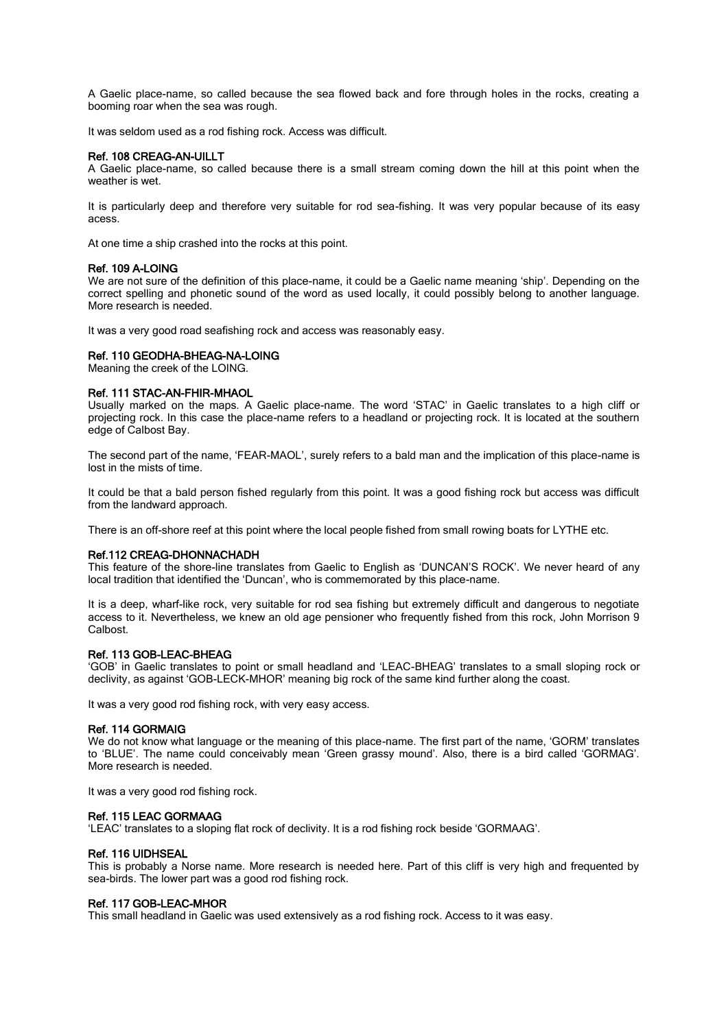A Gaelic place-name, so called because the sea flowed back and fore through holes in the rocks, creating a booming roar when the sea was rough.

It was seldom used as a rod fishing rock. Access was difficult.

## Ref. 108 CREAG-AN-UILLT

A Gaelic place-name, so called because there is a small stream coming down the hill at this point when the weather is wet.

It is particularly deep and therefore very suitable for rod sea-fishing. It was very popular because of its easy acess.

At one time a ship crashed into the rocks at this point.

## Ref. 109 A-LOING

We are not sure of the definition of this place-name, it could be a Gaelic name meaning 'ship'. Depending on the correct spelling and phonetic sound of the word as used locally, it could possibly belong to another language. More research is needed.

It was a very good road seafishing rock and access was reasonably easy.

#### Ref. 110 GEODHA-BHEAG-NA-LOING

Meaning the creek of the LOING.

#### Ref. 111 STAC-AN-FHIR-MHAOL

Usually marked on the maps. A Gaelic place-name. The word 'STAC' in Gaelic translates to a high cliff or projecting rock. In this case the place-name refers to a headland or projecting rock. It is located at the southern edge of Calbost Bay.

The second part of the name, 'FEAR-MAOL', surely refers to a bald man and the implication of this place-name is lost in the mists of time.

It could be that a bald person fished regularly from this point. It was a good fishing rock but access was difficult from the landward approach.

There is an off-shore reef at this point where the local people fished from small rowing boats for LYTHE etc.

#### Ref.112 CREAG-DHONNACHADH

This feature of the shore-line translates from Gaelic to English as 'DUNCAN'S ROCK'. We never heard of any local tradition that identified the 'Duncan', who is commemorated by this place-name.

It is a deep, wharf-like rock, very suitable for rod sea fishing but extremely difficult and dangerous to negotiate access to it. Nevertheless, we knew an old age pensioner who frequently fished from this rock, John Morrison 9 Calbost.

## Ref. 113 GOB-LEAC-BHEAG

'GOB' in Gaelic translates to point or small headland and 'LEAC-BHEAG' translates to a small sloping rock or declivity, as against 'GOB-LECK-MHOR' meaning big rock of the same kind further along the coast.

It was a very good rod fishing rock, with very easy access.

#### Ref. 114 GORMAIG

We do not know what language or the meaning of this place-name. The first part of the name, 'GORM' translates to 'BLUE'. The name could conceivably mean 'Green grassy mound'. Also, there is a bird called 'GORMAG'. More research is needed.

It was a very good rod fishing rock.

#### Ref. 115 LEAC GORMAAG

'LEAC' translates to a sloping flat rock of declivity. It is a rod fishing rock beside 'GORMAAG'.

#### Ref. 116 UIDHSEAL

This is probably a Norse name. More research is needed here. Part of this cliff is very high and frequented by sea-birds. The lower part was a good rod fishing rock.

#### Ref. 117 GOB-LEAC-MHOR

This small headland in Gaelic was used extensively as a rod fishing rock. Access to it was easy.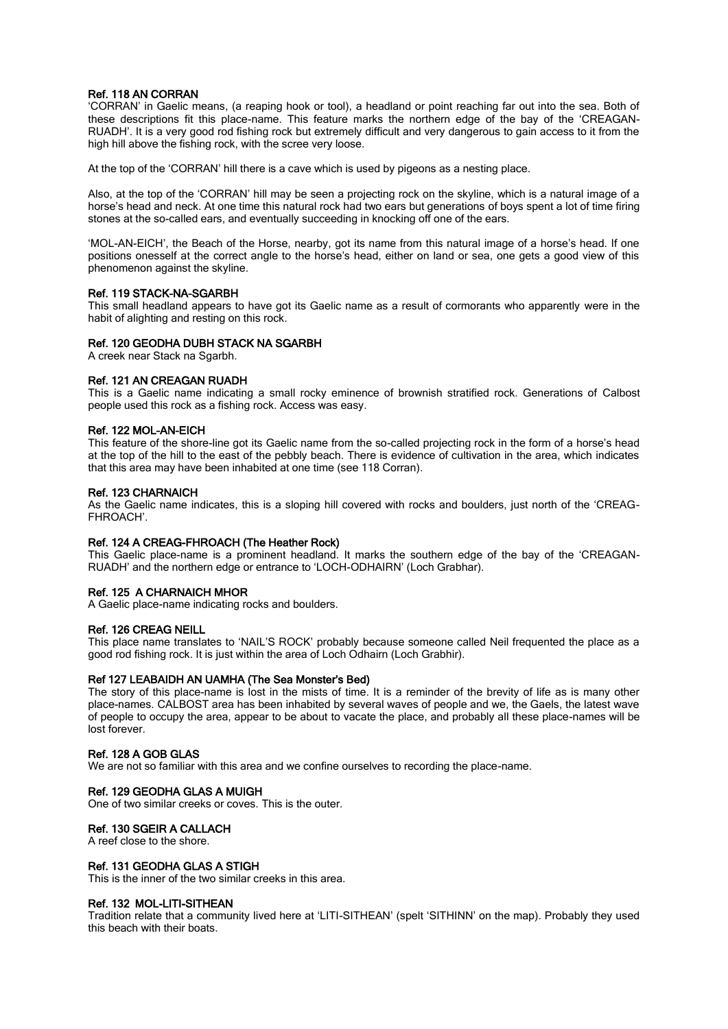## Ref. 118 AN CORRAN

'CORRAN' in Gaelic means, (a reaping hook or tool), a headland or point reaching far out into the sea. Both of these descriptions fit this place-name. This feature marks the northern edge of the bay of the 'CREAGAN-RUADH'. It is a very good rod fishing rock but extremely difficult and very dangerous to gain access to it from the high hill above the fishing rock, with the scree very loose.

At the top of the 'CORRAN' hill there is a cave which is used by pigeons as a nesting place.

Also, at the top of the 'CORRAN' hill may be seen a projecting rock on the skyline, which is a natural image of a horse's head and neck. At one time this natural rock had two ears but generations of boys spent a lot of time firing stones at the so-called ears, and eventually succeeding in knocking off one of the ears.

'MOL-AN-EICH', the Beach of the Horse, nearby, got its name from this natural image of a horse's head. If one positions onesself at the correct angle to the horse's head, either on land or sea, one gets a good view of this phenomenon against the skyline.

## Ref. 119 STACK-NA-SGARBH

This small headland appears to have got its Gaelic name as a result of cormorants who apparently were in the habit of alighting and resting on this rock.

## Ref. 120 GEODHA DUBH STACK NA SGARBH

A creek near Stack na Sgarbh.

## Ref. 121 AN CREAGAN RUADH

This is a Gaelic name indicating a small rocky eminence of brownish stratified rock. Generations of Calbost people used this rock as a fishing rock. Access was easy.

#### Ref. 122 MOL-AN-EICH

This feature of the shore-line got its Gaelic name from the so-called projecting rock in the form of a horse's head at the top of the hill to the east of the pebbly beach. There is evidence of cultivation in the area, which indicates that this area may have been inhabited at one time (see 118 Corran).

#### Ref. 123 CHARNAICH

As the Gaelic name indicates, this is a sloping hill covered with rocks and boulders, just north of the 'CREAG-FHROACH'.

## Ref. 124 A CREAG-FHROACH (The Heather Rock)

This Gaelic place-name is a prominent headland. It marks the southern edge of the bay of the 'CREAGAN-RUADH' and the northern edge or entrance to 'LOCH-ODHAIRN' (Loch Grabhar).

## Ref. 125 A CHARNAICH MHOR

A Gaelic place-name indicating rocks and boulders.

## Ref. 126 CREAG NEILL

This place name translates to 'NAIL'S ROCK' probably because someone called Neil frequented the place as a good rod fishing rock. It is just within the area of Loch Odhairn (Loch Grabhir).

## Ref 127 LEABAIDH AN UAMHA (The Sea Monster's Bed)

The story of this place-name is lost in the mists of time. It is a reminder of the brevity of life as is many other place-names. CALBOST area has been inhabited by several waves of people and we, the Gaels, the latest wave of people to occupy the area, appear to be about to vacate the place, and probably all these place-names will be lost forever.

#### Ref. 128 A GOB GLAS

We are not so familiar with this area and we confine ourselves to recording the place-name.

## Ref. 129 GEODHA GLAS A MUIGH

One of two similar creeks or coves. This is the outer.

## Ref. 130 SGEIR A CALLACH

A reef close to the shore.

## Ref. 131 GEODHA GLAS A STIGH

This is the inner of the two similar creeks in this area.

#### Ref. 132 MOL-LITI-SITHEAN

Tradition relate that a community lived here at 'LITI-SITHEAN' (spelt 'SITHINN' on the map). Probably they used this beach with their boats.